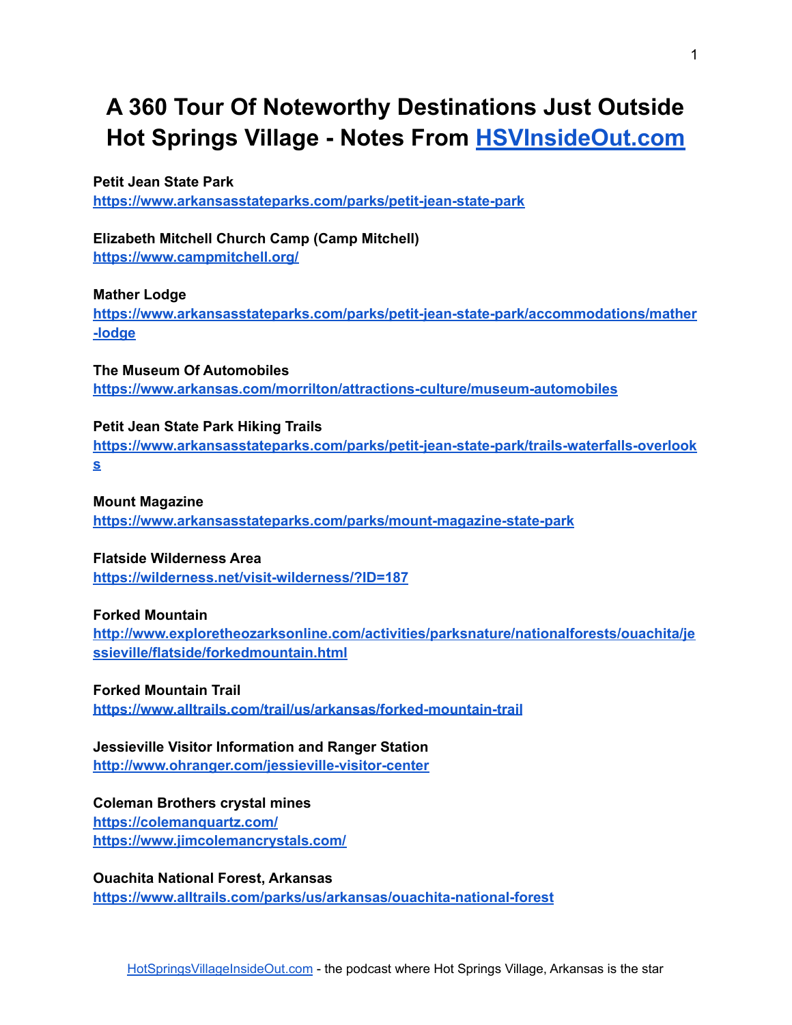# **A 360 Tour Of Noteworthy Destinations Just Outside Hot Springs Village - Notes From [HSVInsideOut.com](https://hsvinsideout.com)**

#### **Petit Jean State Park**

**<https://www.arkansasstateparks.com/parks/petit-jean-state-park>**

# **Elizabeth Mitchell Church Camp (Camp Mitchell)**

**<https://www.campmitchell.org/>**

#### **Mather Lodge**

**[https://www.arkansasstateparks.com/parks/petit-jean-state-park/accommodations/mather](https://www.arkansasstateparks.com/parks/petit-jean-state-park/accommodations/mather-lodge) [-lodge](https://www.arkansasstateparks.com/parks/petit-jean-state-park/accommodations/mather-lodge)**

**The Museum Of Automobiles <https://www.arkansas.com/morrilton/attractions-culture/museum-automobiles>**

#### **Petit Jean State Park Hiking Trails**

**[https://www.arkansasstateparks.com/parks/petit-jean-state-park/trails-waterfalls-overlook](https://www.arkansasstateparks.com/parks/petit-jean-state-park/trails-waterfalls-overlooks) [s](https://www.arkansasstateparks.com/parks/petit-jean-state-park/trails-waterfalls-overlooks)**

#### **Mount Magazine**

**<https://www.arkansasstateparks.com/parks/mount-magazine-state-park>**

# **Flatside Wilderness Area**

**<https://wilderness.net/visit-wilderness/?ID=187>**

#### **Forked Mountain**

**[http://www.exploretheozarksonline.com/activities/parksnature/nationalforests/ouachita/je](http://www.exploretheozarksonline.com/activities/parksnature/nationalforests/ouachita/jessieville/flatside/forkedmountain.html) [ssieville/flatside/forkedmountain.html](http://www.exploretheozarksonline.com/activities/parksnature/nationalforests/ouachita/jessieville/flatside/forkedmountain.html)**

# **Forked Mountain Trail**

**<https://www.alltrails.com/trail/us/arkansas/forked-mountain-trail>**

# **Jessieville Visitor Information and Ranger Station**

**<http://www.ohranger.com/jessieville-visitor-center>**

#### **Coleman Brothers crystal mines <https://colemanquartz.com/>**

**<https://www.jimcolemancrystals.com/>**

#### **Ouachita National Forest, Arkansas**

**<https://www.alltrails.com/parks/us/arkansas/ouachita-national-forest>**

1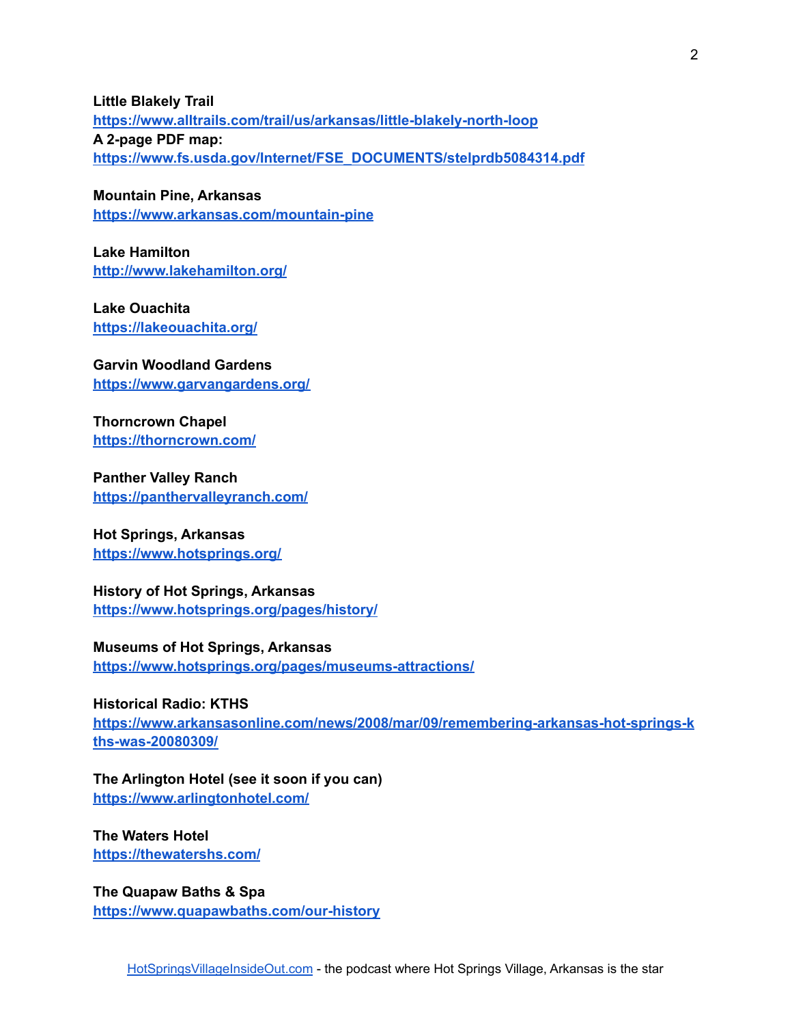**Little Blakely Trail <https://www.alltrails.com/trail/us/arkansas/little-blakely-north-loop> A 2-page PDF map: [https://www.fs.usda.gov/Internet/FSE\\_DOCUMENTS/stelprdb5084314.pdf](https://www.fs.usda.gov/Internet/FSE_DOCUMENTS/stelprdb5084314.pdf)**

**Mountain Pine, Arkansas <https://www.arkansas.com/mountain-pine>**

**Lake Hamilton <http://www.lakehamilton.org/>**

**Lake Ouachita <https://lakeouachita.org/>**

**Garvin Woodland Gardens <https://www.garvangardens.org/>**

**Thorncrown Chapel <https://thorncrown.com/>**

**Panther Valley Ranch <https://panthervalleyranch.com/>**

#### **Hot Springs, Arkansas <https://www.hotsprings.org/>**

**History of Hot Springs, Arkansas <https://www.hotsprings.org/pages/history/>**

# **Museums of Hot Springs, Arkansas**

**<https://www.hotsprings.org/pages/museums-attractions/>**

# **Historical Radio: KTHS**

**[https://www.arkansasonline.com/news/2008/mar/09/remembering-arkansas-hot-springs-k](https://www.arkansasonline.com/news/2008/mar/09/remembering-arkansas-hot-springs-kths-was-20080309/) [ths-was-20080309/](https://www.arkansasonline.com/news/2008/mar/09/remembering-arkansas-hot-springs-kths-was-20080309/)**

# **The Arlington Hotel (see it soon if you can)**

**<https://www.arlingtonhotel.com/>**

**The Waters Hotel <https://thewatershs.com/>**

**The Quapaw Baths & Spa <https://www.quapawbaths.com/our-history>**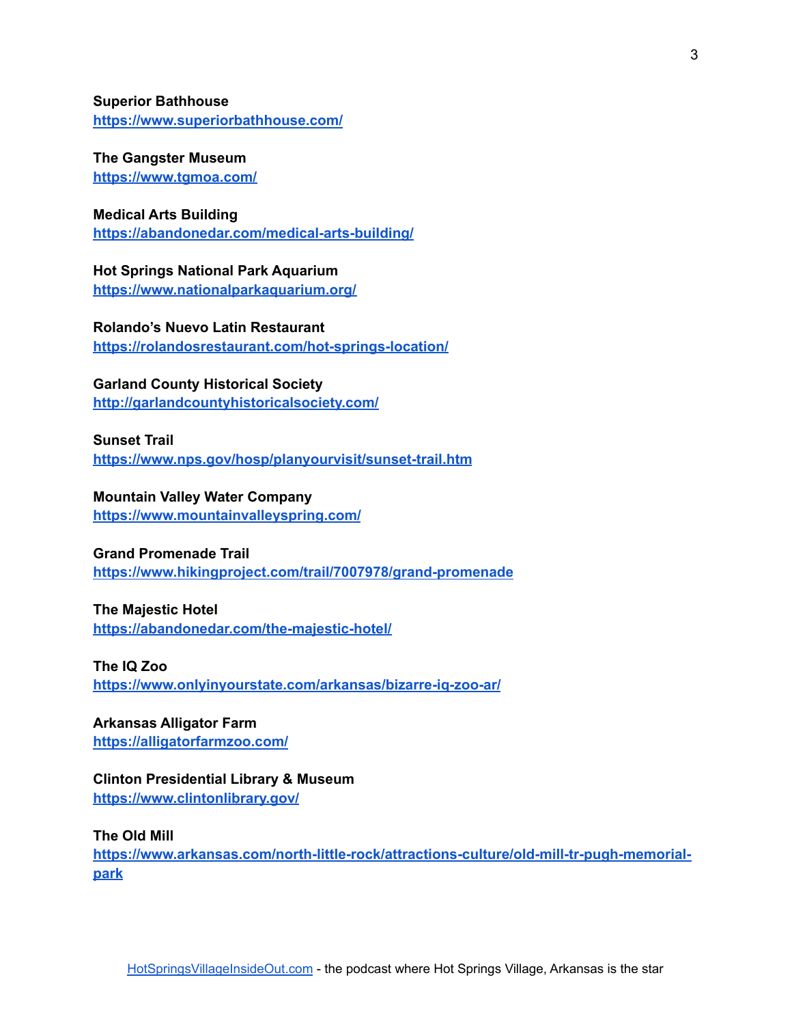**Superior Bathhouse <https://www.superiorbathhouse.com/>**

**The Gangster Museum <https://www.tgmoa.com/>**

#### **Medical Arts Building**

**<https://abandonedar.com/medical-arts-building/>**

**Hot Springs National Park Aquarium <https://www.nationalparkaquarium.org/>**

**Rolando's Nuevo Latin Restaurant <https://rolandosrestaurant.com/hot-springs-location/>**

**Garland County Historical Society <http://garlandcountyhistoricalsociety.com/>**

**Sunset Trail <https://www.nps.gov/hosp/planyourvisit/sunset-trail.htm>**

**Mountain Valley Water Company**

**<https://www.mountainvalleyspring.com/>**

#### **Grand Promenade Trail**

**<https://www.hikingproject.com/trail/7007978/grand-promenade>**

#### **The Majestic Hotel**

**<https://abandonedar.com/the-majestic-hotel/>**

**The IQ Zoo**

**<https://www.onlyinyourstate.com/arkansas/bizarre-iq-zoo-ar/>**

**Arkansas Alligator Farm <https://alligatorfarmzoo.com/>**

**Clinton Presidential Library & Museum <https://www.clintonlibrary.gov/>**

**The Old Mill**

**[https://www.arkansas.com/north-little-rock/attractions-culture/old-mill-tr-pugh-memorial](https://www.arkansas.com/north-little-rock/attractions-culture/old-mill-tr-pugh-memorial-park)[park](https://www.arkansas.com/north-little-rock/attractions-culture/old-mill-tr-pugh-memorial-park)**